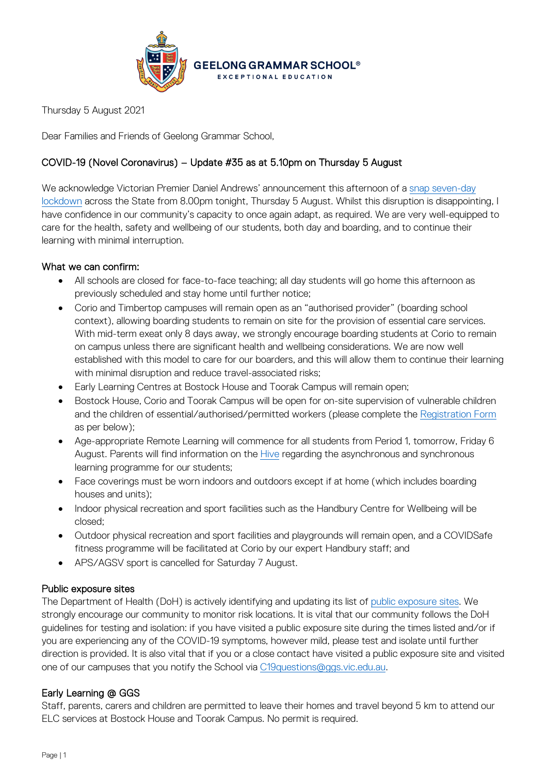

Thursday 5 August 2021

Dear Families and Friends of Geelong Grammar School,

# COVID-19 (Novel Coronavirus) – Update #35 as at 5.10pm on Thursday 5 August

We acknowledge Victorian Premier Daniel Andrews' announcement this afternoon of a snap [seven-day](https://www.premier.vic.gov.au/sites/default/files/2021-08/210805%20-%20Seven%20Day%20Lockdown%20To%20Keep%20Victorians%20Safe.pdf) [lockdown](https://www.premier.vic.gov.au/sites/default/files/2021-08/210805%20-%20Seven%20Day%20Lockdown%20To%20Keep%20Victorians%20Safe.pdf) across the State from 8.00pm tonight, Thursday 5 August. Whilst this disruption is disappointing, I have confidence in our community's capacity to once again adapt, as required. We are very well-equipped to care for the health, safety and wellbeing of our students, both day and boarding, and to continue their learning with minimal interruption.

# What we can confirm:

- All schools are closed for face-to-face teaching; all day students will go home this afternoon as previously scheduled and stay home until further notice;
- Corio and Timbertop campuses will remain open as an "authorised provider" (boarding school context), allowing boarding students to remain on site for the provision of essential care services. With mid-term exeat only 8 days away, we strongly encourage boarding students at Corio to remain on campus unless there are significant health and wellbeing considerations. We are now well established with this model to care for our boarders, and this will allow them to continue their learning with minimal disruption and reduce travel-associated risks;
- Early Learning Centres at Bostock House and Toorak Campus will remain open;
- Bostock House, Corio and Toorak Campus will be open for on-site supervision of vulnerable children and the children of essential/authorised/permitted workers (please complete the [Registration](https://www.ggs.vic.edu.au/school/our-school/leadership-and-governance/recent-statements/covid-19/supervision-of-remote-learning-ggs) Form as per below);
- Age-appropriate Remote Learning will commence for all students from Period 1, tomorrow, Friday 6 August. Parents will find information on the [Hive](https://hive.ggs.vic.edu.au/) regarding the asynchronous and synchronous learning programme for our students;
- Face coverings must be worn indoors and outdoors except if at home (which includes boarding houses and units);
- Indoor physical recreation and sport facilities such as the Handbury Centre for Wellbeing will be closed;
- Outdoor physical recreation and sport facilities and playgrounds will remain open, and a COVIDSafe fitness programme will be facilitated at Corio by our expert Handbury staff; and
- APS/AGSV sport is cancelled for Saturday 7 August.

## Public exposure sites

The Department of Health (DoH) is actively identifying and updating its list of [public exposure sites.](https://www.coronavirus.vic.gov.au/exposure-sites) We strongly encourage our community to monitor risk locations. It is vital that our community follows the DoH guidelines for testing and isolation: if you have visited a public exposure site during the times listed and/or if you are experiencing any of the COVID-19 symptoms, however mild, please test and isolate until further direction is provided. It is also vital that if you or a close contact have visited a public exposure site and visited one of our campuses that you notify the School via [C19questions@ggs.vic.edu.au.](mailto:C19questions@ggs.vic.edu.au)

## Early Learning @ GGS

Staff, parents, carers and children are permitted to leave their homes and travel beyond 5 km to attend our ELC services at Bostock House and Toorak Campus. No permit is required.